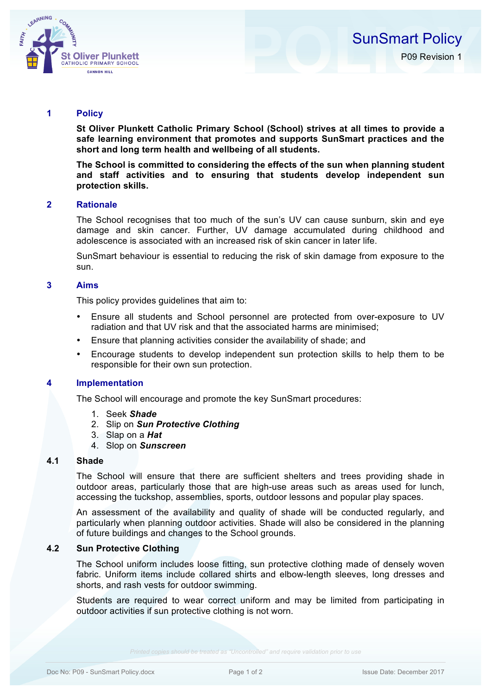

## **1 Policy**

**St Oliver Plunkett Catholic Primary School (School) strives at all times to provide a safe learning environment that promotes and supports SunSmart practices and the short and long term health and wellbeing of all students.**

**The School is committed to considering the effects of the sun when planning student and staff activities and to ensuring that students develop independent sun protection skills.**

### **2 Rationale**

The School recognises that too much of the sun's UV can cause sunburn, skin and eye damage and skin cancer. Further, UV damage accumulated during childhood and adolescence is associated with an increased risk of skin cancer in later life.

SunSmart behaviour is essential to reducing the risk of skin damage from exposure to the sun.

## **3 Aims**

This policy provides guidelines that aim to:

- Ensure all students and School personnel are protected from over-exposure to UV radiation and that UV risk and that the associated harms are minimised;
- Ensure that planning activities consider the availability of shade; and
- Encourage students to develop independent sun protection skills to help them to be responsible for their own sun protection.

## **4 Implementation**

The School will encourage and promote the key SunSmart procedures:

- 1. Seek *Shade*
- 2. Slip on *Sun Protective Clothing*
- 3. Slap on a *Hat*
- 4. Slop on *Sunscreen*

# **4.1 Shade**

The School will ensure that there are sufficient shelters and trees providing shade in outdoor areas, particularly those that are high-use areas such as areas used for lunch, accessing the tuckshop, assemblies, sports, outdoor lessons and popular play spaces.

An assessment of the availability and quality of shade will be conducted regularly, and particularly when planning outdoor activities. Shade will also be considered in the planning of future buildings and changes to the School grounds.

## **4.2 Sun Protective Clothing**

The School uniform includes loose fitting, sun protective clothing made of densely woven fabric. Uniform items include collared shirts and elbow-length sleeves, long dresses and shorts, and rash vests for outdoor swimming.

Students are required to wear correct uniform and may be limited from participating in outdoor activities if sun protective clothing is not worn.

*Printed copies should be treated as "Uncontrolled" and require validation prior to use*